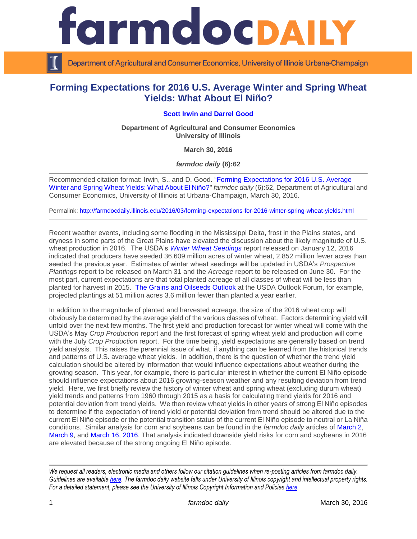

Department of Agricultural and Consumer Economics, University of Illinois Urbana-Champaign

# **Forming Expectations for 2016 U.S. Average Winter and Spring Wheat Yields: What About El Niño?**

## **[Scott Irwin](http://www.farmdoc.illinois.edu/irwin/) and [Darrel Good](http://farmdoc.illinois.edu/good/)**

**Department of Agricultural and Consumer Economics University of Illinois**

**March 30, 2016**

*farmdoc daily* **(6):62**

Recommended citation format: Irwin, S., and D. Good. ["Forming Expectations for 2016 U.S. Average](http://farmdocdaily.illinois.edu/2016/03/forming-expectations-for-2016-winter-spring-wheat-yields.html)  [Winter and Spring Wheat Yields: What About El Niño?"](http://farmdocdaily.illinois.edu/2016/03/forming-expectations-for-2016-winter-spring-wheat-yields.html) *farmdoc daily* (6):62, Department of Agricultural and Consumer Economics, University of Illinois at Urbana-Champaign, March 30, 2016.

Permalink: <http://farmdocdaily.illinois.edu/2016/03/forming-expectations-for-2016-winter-spring-wheat-yields.html>

Recent weather events, including some flooding in the Mississippi Delta, frost in the Plains states, and dryness in some parts of the Great Plains have elevated the discussion about the likely magnitude of U.S. wheat production in 2016. The USDA's *[Winter Wheat Seedings](http://usda.mannlib.cornell.edu/usda/nass/WintWheaRy/2010s/2016/WintWheaRy-01-12-2016.pdf)* report released on January 12, 2016 indicated that producers have seeded 36.609 million acres of winter wheat, 2.852 million fewer acres than seeded the previous year. Estimates of winter wheat seedings will be updated in USDA's *Prospective Plantings* report to be released on March 31 and the *Acreage* report to be released on June 30. For the most part, current expectations are that total planted acreage of all classes of wheat will be less than planted for harvest in 2015. [The Grains and Oilseeds Outlook](http://www.usda.gov/oce/forum/2016_speeches/GO_AOF2016_FINAL.pdf) at the USDA Outlook Forum, for example, projected plantings at 51 million acres 3.6 million fewer than planted a year earlier.

In addition to the magnitude of planted and harvested acreage, the size of the 2016 wheat crop will obviously be determined by the average yield of the various classes of wheat. Factors determining yield will unfold over the next few months. The first yield and production forecast for winter wheat will come with the USDA's May *Crop Production* report and the first forecast of spring wheat yield and production will come with the July *Crop Production* report. For the time being, yield expectations are generally based on trend yield analysis. This raises the perennial issue of what, if anything can be learned from the historical trends and patterns of U.S. average wheat yields. In addition, there is the question of whether the trend yield calculation should be altered by information that would influence expectations about weather during the growing season. This year, for example, there is particular interest in whether the current El Niño episode should influence expectations about 2016 growing-season weather and any resulting deviation from trend yield. Here, we first briefly review the history of winter wheat and spring wheat (excluding durum wheat) yield trends and patterns from 1960 through 2015 as a basis for calculating trend yields for 2016 and potential deviation from trend yields. We then review wheat yields in other years of strong El Niño episodes to determine if the expectation of trend yield or potential deviation from trend should be altered due to the current El Niño episode or the potential transition status of the current El Niño episode to neutral or La Niña conditions. Similar analysis for corn and soybeans can be found in the *farmdoc daily* articles of [March 2,](http://farmdocdaily.illinois.edu/2016/03/expectations-for-2016-us-average-corn-yield.html) [March 9,](http://farmdocdaily.illinois.edu/2016/03/expectations-for-2016-us-average-soybean-yield.html) and [March 16, 2016.](http://farmdocdaily.illinois.edu/2016/03/forming-expectations-for-2016-el-nino-transitions.html) That analysis indicated downside yield risks for corn and soybeans in 2016 are elevated because of the strong ongoing El Niño episode.

*We request all readers, electronic media and others follow our citation guidelines when re-posting articles from farmdoc daily. Guidelines are available [here.](http://farmdocdaily.illinois.edu/citationguide.html) The farmdoc daily website falls under University of Illinois copyright and intellectual property rights. For a detailed statement, please see the University of Illinois Copyright Information and Policies [here.](http://www.cio.illinois.edu/policies/copyright/)*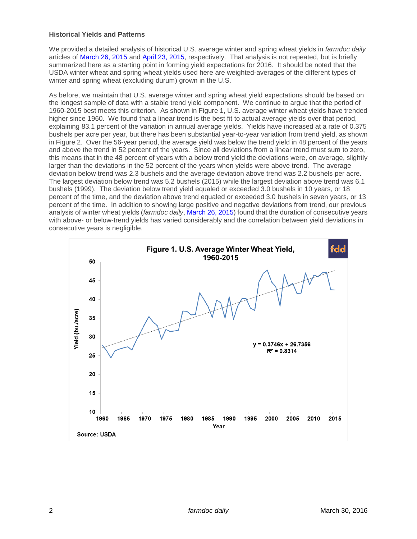#### **Historical Yields and Patterns**

We provided a detailed analysis of historical U.S. average winter and spring wheat yields in *farmdoc daily* articles of [March 26, 2015](http://farmdocdaily.illinois.edu/2015/03/expectations-for-2015-us-average-wheat-yield.html) and [April 23, 2015,](http://farmdocdaily.illinois.edu/2015/04/forming-expectations-2015-us-average-spring-wheat-yield.html) respectively. That analysis is not repeated, but is briefly summarized here as a starting point in forming yield expectations for 2016. It should be noted that the USDA winter wheat and spring wheat yields used here are weighted-averages of the different types of winter and spring wheat (excluding durum) grown in the U.S.

As before, we maintain that U.S. average winter and spring wheat yield expectations should be based on the longest sample of data with a stable trend yield component. We continue to argue that the period of 1960-2015 best meets this criterion. As shown in Figure 1, U.S. average winter wheat yields have trended higher since 1960. We found that a linear trend is the best fit to actual average yields over that period, explaining 83.1 percent of the variation in annual average yields. Yields have increased at a rate of 0.375 bushels per acre per year, but there has been substantial year-to-year variation from trend yield, as shown in Figure 2. Over the 56-year period, the average yield was below the trend yield in 48 percent of the years and above the trend in 52 percent of the years. Since all deviations from a linear trend must sum to zero, this means that in the 48 percent of years with a below trend yield the deviations were, on average, slightly larger than the deviations in the 52 percent of the years when yields were above trend. The average deviation below trend was 2.3 bushels and the average deviation above trend was 2.2 bushels per acre. The largest deviation below trend was 5.2 bushels (2015) while the largest deviation above trend was 6.1 bushels (1999). The deviation below trend yield equaled or exceeded 3.0 bushels in 10 years, or 18 percent of the time, and the deviation above trend equaled or exceeded 3.0 bushels in seven years, or 13 percent of the time. In addition to showing large positive and negative deviations from trend, our previous analysis of winter wheat yields (*farmdoc daily*[, March 26, 2015\)](http://farmdocdaily.illinois.edu/2015/03/expectations-for-2015-us-average-wheat-yield.html) found that the duration of consecutive years with above- or below-trend yields has varied considerably and the correlation between yield deviations in consecutive years is negligible.

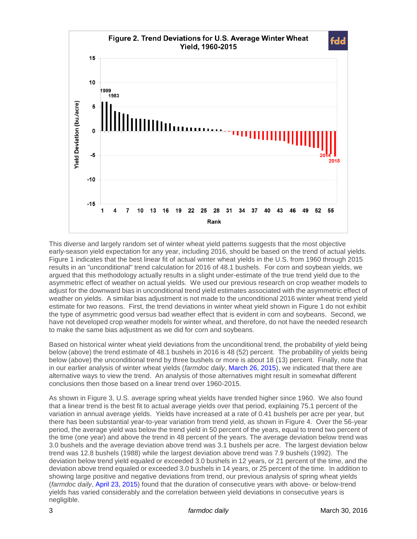

This diverse and largely random set of winter wheat yield patterns suggests that the most objective early-season yield expectation for any year, including 2016, should be based on the trend of actual yields. Figure 1 indicates that the best linear fit of actual winter wheat yields in the U.S. from 1960 through 2015 results in an "unconditional" trend calculation for 2016 of 48.1 bushels. For corn and soybean yields, we argued that this methodology actually results in a slight under-estimate of the true trend yield due to the asymmetric effect of weather on actual yields. We used our previous research on crop weather models to adjust for the downward bias in unconditional trend yield estimates associated with the asymmetric effect of weather on yields. A similar bias adjustment is not made to the unconditional 2016 winter wheat trend yield estimate for two reasons. First, the trend deviations in winter wheat yield shown in Figure 1 do not exhibit the type of asymmetric good versus bad weather effect that is evident in corn and soybeans. Second, we have not developed crop weather models for winter wheat, and therefore, do not have the needed research to make the same bias adjustment as we did for corn and soybeans.

Based on historical winter wheat yield deviations from the unconditional trend, the probability of yield being below (above) the trend estimate of 48.1 bushels in 2016 is 48 (52) percent. The probability of yields being below (above) the unconditional trend by three bushels or more is about 18 (13) percent. Finally, note that in our earlier analysis of winter wheat yields (*farmdoc daily*, [March 26, 2015\)](http://farmdocdaily.illinois.edu/2015/03/expectations-for-2015-us-average-wheat-yield.html), we indicated that there are alternative ways to view the trend. An analysis of those alternatives might result in somewhat different conclusions then those based on a linear trend over 1960-2015.

As shown in Figure 3, U.S. average spring wheat yields have trended higher since 1960. We also found that a linear trend is the best fit to actual average yields over that period, explaining 75.1 percent of the variation in annual average yields. Yields have increased at a rate of 0.41 bushels per acre per year, but there has been substantial year-to-year variation from trend yield, as shown in Figure 4. Over the 56-year period, the average yield was below the trend yield in 50 percent of the years, equal to trend two percent of the time (one year) and above the trend in 48 percent of the years. The average deviation below trend was 3.0 bushels and the average deviation above trend was 3.1 bushels per acre. The largest deviation below trend was 12.8 bushels (1988) while the largest deviation above trend was 7.9 bushels (1992). The deviation below trend yield equaled or exceeded 3.0 bushels in 12 years, or 21 percent of the time, and the deviation above trend equaled or exceeded 3.0 bushels in 14 years, or 25 percent of the time. In addition to showing large positive and negative deviations from trend, our previous analysis of spring wheat yields (*farmdoc daily*, [April 23, 2015\)](http://farmdocdaily.illinois.edu/2015/04/forming-expectations-2015-us-average-spring-wheat-yield.html) found that the duration of consecutive years with above- or below-trend yields has varied considerably and the correlation between yield deviations in consecutive years is negligible.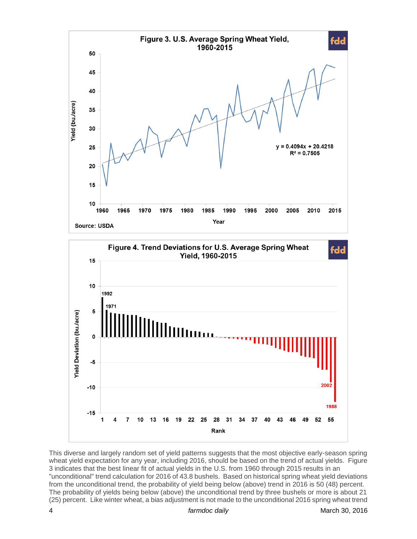

This diverse and largely random set of yield patterns suggests that the most objective early-season spring wheat yield expectation for any year, including 2016, should be based on the trend of actual yields. Figure 3 indicates that the best linear fit of actual yields in the U.S. from 1960 through 2015 results in an "unconditional" trend calculation for 2016 of 43.8 bushels. Based on historical spring wheat yield deviations from the unconditional trend, the probability of yield being below (above) trend in 2016 is 50 (48) percent. The probability of yields being below (above) the unconditional trend by three bushels or more is about 21 (25) percent. Like winter wheat, a bias adjustment is not made to the unconditional 2016 spring wheat trend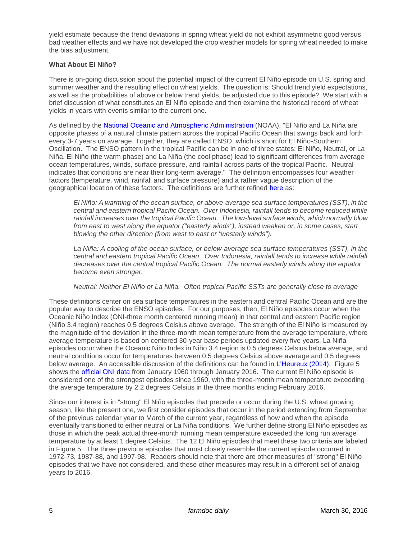yield estimate because the trend deviations in spring wheat yield do not exhibit asymmetric good versus bad weather effects and we have not developed the crop weather models for spring wheat needed to make the bias adiustment.

### **What About El Niño?**

There is on-going discussion about the potential impact of the current El Niño episode on U.S. spring and summer weather and the resulting effect on wheat yields. The question is: Should trend yield expectations, as well as the probabilities of above or below trend yields, be adjusted due to this episode? We start with a brief discussion of what constitutes an El Niño episode and then examine the historical record of wheat yields in years with events similar to the current one.

As defined by the [National Oceanic and Atmospheric Administration](https://www.climate.gov/news-features/understanding-climate/el-niño-and-la-niña-frequently-asked-questions) (NOAA), "El Niño and La Niña are opposite phases of a natural climate pattern across the tropical Pacific Ocean that swings back and forth every 3-7 years on average. Together, they are called ENSO, which is short for El Niño-Southern Oscillation. The ENSO pattern in the tropical Pacific can be in one of three states: El Niño, Neutral, or La Niña. El Niño (the warm phase) and La Niña (the cool phase) lead to significant differences from average ocean temperatures, winds, surface pressure, and rainfall across parts of the tropical Pacific. Neutral indicates that conditions are near their long-term average." The definition encompasses four weather factors (temperature, wind, rainfall and surface pressure) and a rather vague description of the geographical location of these factors. The definitions are further refined [here](https://www.climate.gov/news-features/blogs/enso/what-el-ni%C3%B1o%E2%80%93southern-oscillation-enso-nutshell) as:

*El Niño: A warming of the ocean surface, or above-average sea surface temperatures (SST), in the central and eastern tropical Pacific Ocean. Over Indonesia, rainfall tends to become reduced while rainfall increases over the tropical Pacific Ocean. The low-level surface winds, which normally blow from east to west along the equator ("easterly winds"), instead weaken or, in some cases, start blowing the other direction (from west to east or "westerly winds").*

*La Niña: A cooling of the ocean surface, or below-average sea surface temperatures (SST), in the central and eastern tropical Pacific Ocean. Over Indonesia, rainfall tends to increase while rainfall decreases over the central tropical Pacific Ocean. The normal easterly winds along the equator become even stronger.*

*Neutral: Neither El Niño or La Niña. Often tropical Pacific SSTs are generally close to average*

These definitions center on sea surface temperatures in the eastern and central Pacific Ocean and are the popular way to describe the ENSO episodes. For our purposes, then, El Niño episodes occur when the Oceanic Niño Index (ONI-three month centered running mean) in that central and eastern Pacific region (Niño 3.4 region) reaches 0.5 degrees Celsius above average. The strength of the El Niño is measured by the magnitude of the deviation in the three-month mean temperature from the average temperature, where average temperature is based on centered 30-year base periods updated every five years. La Niña episodes occur when the Oceanic Niño Index in Niño 3.4 region is 0.5 degrees Celsius below average, and neutral conditions occur for temperatures between 0.5 degrees Celsius above average and 0.5 degrees below average. An accessible discussion of the definitions can be found in [L'Heureux \(2014\).](https://www.climate.gov/news-features/blogs/enso/what-el-ni%C3%B1o%E2%80%93southern-oscillation-enso-nutshell) Figure 5 shows the [official ONI data](http://www.cpc.ncep.noaa.gov/products/analysis_monitoring/ensostuff/ensoyears.shtml) from January 1960 through January 2016. The current El Niño episode is considered one of the strongest episodes since 1960, with the three-month mean temperature exceeding the average temperature by 2.2 degrees Celsius in the three months ending February 2016.

Since our interest is in "strong" El Niño episodes that precede or occur during the U.S. wheat growing season, like the present one, we first consider episodes that occur in the period extending from September of the previous calendar year to March of the current year, regardless of how and when the episode eventually transitioned to either neutral or La Niña conditions. We further define strong El Niño episodes as those in which the peak actual three-month running mean temperature exceeded the long run average temperature by at least 1 degree Celsius. The 12 El Niño episodes that meet these two criteria are labeled in Figure 5. The three previous episodes that most closely resemble the current episode occurred in 1972-73, 1987-88, and 1997-98. Readers should note that there are other measures of "strong" El Niño episodes that we have not considered, and these other measures may result in a different set of analog years to 2016.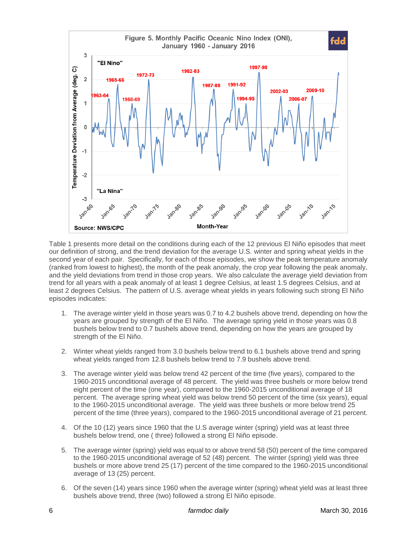

Table 1 presents more detail on the conditions during each of the 12 previous El Niño episodes that meet our definition of strong, and the trend deviation for the average U.S. winter and spring wheat yields in the second year of each pair. Specifically, for each of those episodes, we show the peak temperature anomaly (ranked from lowest to highest), the month of the peak anomaly, the crop year following the peak anomaly, and the yield deviations from trend in those crop years. We also calculate the average yield deviation from trend for all years with a peak anomaly of at least 1 degree Celsius, at least 1.5 degrees Celsius, and at least 2 degrees Celsius. The pattern of U.S. average wheat yields in years following such strong El Niño episodes indicates:

- 1. The average winter yield in those years was 0.7 to 4.2 bushels above trend, depending on how the years are grouped by strength of the El Niño. The average spring yield in those years was 0.8 bushels below trend to 0.7 bushels above trend, depending on how the years are grouped by strength of the El Niño.
- 2. Winter wheat yields ranged from 3.0 bushels below trend to 6.1 bushels above trend and spring wheat yields ranged from 12.8 bushels below trend to 7.9 bushels above trend.
- 3. The average winter yield was below trend 42 percent of the time (five years), compared to the 1960-2015 unconditional average of 48 percent. The yield was three bushels or more below trend eight percent of the time (one year), compared to the 1960-2015 unconditional average of 18 percent. The average spring wheat yield was below trend 50 percent of the time (six years), equal to the 1960-2015 unconditional average. The yield was three bushels or more below trend 25 percent of the time (three years), compared to the 1960-2015 unconditional average of 21 percent.
- 4. Of the 10 (12) years since 1960 that the U.S average winter (spring) yield was at least three bushels below trend, one ( three) followed a strong El Niño episode.
- 5. The average winter (spring) yield was equal to or above trend 58 (50) percent of the time compared to the 1960-2015 unconditional average of 52 (48) percent. The winter (spring) yield was three bushels or more above trend 25 (17) percent of the time compared to the 1960-2015 unconditional average of 13 (25) percent.
- 6. Of the seven (14) years since 1960 when the average winter (spring) wheat yield was at least three bushels above trend, three (two) followed a strong El Niño episode.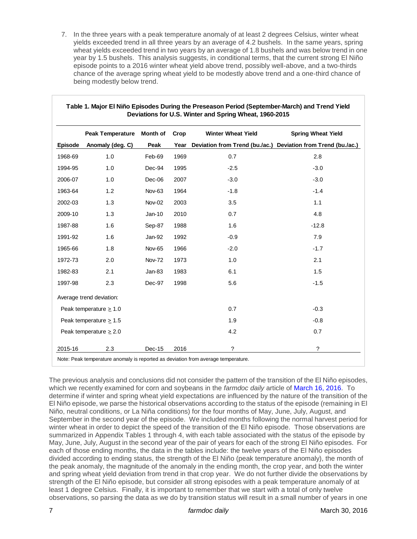7. In the three years with a peak temperature anomaly of at least 2 degrees Celsius, winter wheat yields exceeded trend in all three years by an average of 4.2 bushels. In the same years, spring wheat yields exceeded trend in two years by an average of 1.8 bushels and was below trend in one year by 1.5 bushels. This analysis suggests, in conditional terms, that the current strong El Niño episode points to a 2016 winter wheat yield above trend, possibly well-above, and a two-thirds chance of the average spring wheat yield to be modestly above trend and a one-third chance of being modestly below trend.

|         | Peak Temperature Month of                                                                                   |               | Crop | <b>Winter Wheat Yield</b>                                                                                                                                                                                                                                                                                                                                                                                                                                                                                                                                                                                                                                                                                                                                                                                                                                                                                                                                                                                                                                                                                                                                                                                                                                                                                                                         | <b>Spring Wheat Yield</b> |
|---------|-------------------------------------------------------------------------------------------------------------|---------------|------|---------------------------------------------------------------------------------------------------------------------------------------------------------------------------------------------------------------------------------------------------------------------------------------------------------------------------------------------------------------------------------------------------------------------------------------------------------------------------------------------------------------------------------------------------------------------------------------------------------------------------------------------------------------------------------------------------------------------------------------------------------------------------------------------------------------------------------------------------------------------------------------------------------------------------------------------------------------------------------------------------------------------------------------------------------------------------------------------------------------------------------------------------------------------------------------------------------------------------------------------------------------------------------------------------------------------------------------------------|---------------------------|
| Episode | Anomaly (deg. C)                                                                                            | Peak          | Year | Deviation from Trend (bu./ac.) Deviation from Trend (bu./ac.)                                                                                                                                                                                                                                                                                                                                                                                                                                                                                                                                                                                                                                                                                                                                                                                                                                                                                                                                                                                                                                                                                                                                                                                                                                                                                     |                           |
| 1968-69 | 1.0                                                                                                         | Feb-69        | 1969 | 0.7                                                                                                                                                                                                                                                                                                                                                                                                                                                                                                                                                                                                                                                                                                                                                                                                                                                                                                                                                                                                                                                                                                                                                                                                                                                                                                                                               | 2.8                       |
| 1994-95 | 1.0                                                                                                         | Dec-94        | 1995 | $-2.5$                                                                                                                                                                                                                                                                                                                                                                                                                                                                                                                                                                                                                                                                                                                                                                                                                                                                                                                                                                                                                                                                                                                                                                                                                                                                                                                                            | $-3.0$                    |
| 2006-07 | 1.0                                                                                                         | Dec-06        | 2007 | $-3.0$                                                                                                                                                                                                                                                                                                                                                                                                                                                                                                                                                                                                                                                                                                                                                                                                                                                                                                                                                                                                                                                                                                                                                                                                                                                                                                                                            | $-3.0$                    |
| 1963-64 | 1.2                                                                                                         | Nov-63        | 1964 | $-1.8$                                                                                                                                                                                                                                                                                                                                                                                                                                                                                                                                                                                                                                                                                                                                                                                                                                                                                                                                                                                                                                                                                                                                                                                                                                                                                                                                            | $-1.4$                    |
| 2002-03 | 1.3                                                                                                         | Nov-02        | 2003 | 3.5                                                                                                                                                                                                                                                                                                                                                                                                                                                                                                                                                                                                                                                                                                                                                                                                                                                                                                                                                                                                                                                                                                                                                                                                                                                                                                                                               | 1.1                       |
| 2009-10 | 1.3                                                                                                         | Jan-10        | 2010 | 0.7                                                                                                                                                                                                                                                                                                                                                                                                                                                                                                                                                                                                                                                                                                                                                                                                                                                                                                                                                                                                                                                                                                                                                                                                                                                                                                                                               | 4.8                       |
| 1987-88 | 1.6                                                                                                         | Sep-87        | 1988 | 1.6                                                                                                                                                                                                                                                                                                                                                                                                                                                                                                                                                                                                                                                                                                                                                                                                                                                                                                                                                                                                                                                                                                                                                                                                                                                                                                                                               | $-12.8$                   |
| 1991-92 | 1.6                                                                                                         | Jan-92        | 1992 | $-0.9$                                                                                                                                                                                                                                                                                                                                                                                                                                                                                                                                                                                                                                                                                                                                                                                                                                                                                                                                                                                                                                                                                                                                                                                                                                                                                                                                            | 7.9                       |
| 1965-66 | 1.8                                                                                                         | Nov-65        | 1966 | $-2.0$                                                                                                                                                                                                                                                                                                                                                                                                                                                                                                                                                                                                                                                                                                                                                                                                                                                                                                                                                                                                                                                                                                                                                                                                                                                                                                                                            | $-1.7$                    |
| 1972-73 | 2.0                                                                                                         | <b>Nov-72</b> | 1973 | 1.0                                                                                                                                                                                                                                                                                                                                                                                                                                                                                                                                                                                                                                                                                                                                                                                                                                                                                                                                                                                                                                                                                                                                                                                                                                                                                                                                               | 2.1                       |
| 1982-83 | 2.1                                                                                                         | <b>Jan-83</b> | 1983 | 6.1                                                                                                                                                                                                                                                                                                                                                                                                                                                                                                                                                                                                                                                                                                                                                                                                                                                                                                                                                                                                                                                                                                                                                                                                                                                                                                                                               | 1.5                       |
| 1997-98 | 2.3                                                                                                         | Dec-97        | 1998 | 5.6                                                                                                                                                                                                                                                                                                                                                                                                                                                                                                                                                                                                                                                                                                                                                                                                                                                                                                                                                                                                                                                                                                                                                                                                                                                                                                                                               | $-1.5$                    |
|         | Average trend deviation:                                                                                    |               |      |                                                                                                                                                                                                                                                                                                                                                                                                                                                                                                                                                                                                                                                                                                                                                                                                                                                                                                                                                                                                                                                                                                                                                                                                                                                                                                                                                   |                           |
|         | Peak temperature $\geq 1.0$                                                                                 |               |      | 0.7                                                                                                                                                                                                                                                                                                                                                                                                                                                                                                                                                                                                                                                                                                                                                                                                                                                                                                                                                                                                                                                                                                                                                                                                                                                                                                                                               | $-0.3$                    |
|         | Peak temperature $\geq 1.5$                                                                                 |               |      | 1.9                                                                                                                                                                                                                                                                                                                                                                                                                                                                                                                                                                                                                                                                                                                                                                                                                                                                                                                                                                                                                                                                                                                                                                                                                                                                                                                                               | $-0.8$                    |
|         | Peak temperature $\geq 2.0$                                                                                 |               |      | 4.2                                                                                                                                                                                                                                                                                                                                                                                                                                                                                                                                                                                                                                                                                                                                                                                                                                                                                                                                                                                                                                                                                                                                                                                                                                                                                                                                               | 0.7                       |
| 2015-16 | 2.3                                                                                                         | $Dec-15$      | 2016 | ?                                                                                                                                                                                                                                                                                                                                                                                                                                                                                                                                                                                                                                                                                                                                                                                                                                                                                                                                                                                                                                                                                                                                                                                                                                                                                                                                                 | ?                         |
|         |                                                                                                             |               |      | Note: Peak temperature anomaly is reported as deviation from average temperature.                                                                                                                                                                                                                                                                                                                                                                                                                                                                                                                                                                                                                                                                                                                                                                                                                                                                                                                                                                                                                                                                                                                                                                                                                                                                 |                           |
|         | and spring wheat yield deviation from trend in that crop year. We do not further divide the observations by |               |      | The previous analysis and conclusions did not consider the pattern of the transition of the El Niño episodes,<br>which we recently examined for corn and soybeans in the farmdoc daily article of March 16, 2016. To<br>determine if winter and spring wheat yield expectations are influenced by the nature of the transition of the<br>El Niño episode, we parse the historical observations according to the status of the episode (remaining in El<br>Niño, neutral conditions, or La Niña conditions) for the four months of May, June, July, August, and<br>September in the second year of the episode. We included months following the normal harvest period for<br>winter wheat in order to depict the speed of the transition of the El Niño episode. Those observations are<br>summarized in Appendix Tables 1 through 4, with each table associated with the status of the episode by<br>May, June, July, August in the second year of the pair of years for each of the strong El Niño episodes. For<br>each of those ending months, the data in the tables include: the twelve years of the El Niño episodes<br>divided according to ending status, the strength of the El Niño (peak temperature anomaly), the month of<br>the peak anomaly, the magnitude of the anomaly in the ending month, the crop year, and both the winter |                           |

#### **Table 1. Major El Niño Episodes During the Preseason Period (September-March) and Trend Yield Deviations for U.S. Winter and Spring Wheat, 1960-2015**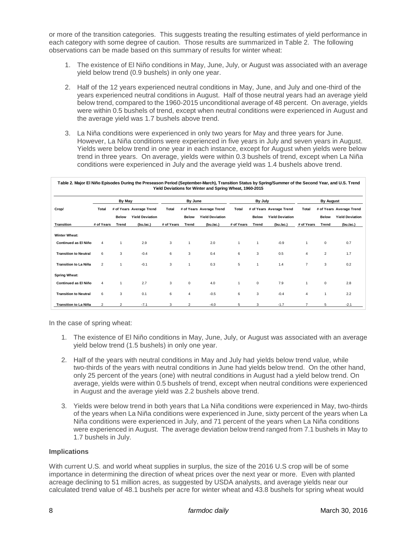or more of the transition categories. This suggests treating the resulting estimates of yield performance in each category with some degree of caution. Those results are summarized in Table 2. The following observations can be made based on this summary of results for winter wheat:

- 1. The existence of El Niño conditions in May, June, July, or August was associated with an average yield below trend (0.9 bushels) in only one year.
- 2. Half of the 12 years experienced neutral conditions in May, June, and July and one-third of the years experienced neutral conditions in August. Half of those neutral years had an average yield below trend, compared to the 1960-2015 unconditional average of 48 percent. On average, yields were within 0.5 bushels of trend, except when neutral conditions were experienced in August and the average yield was 1.7 bushels above trend.
- 3. La Niña conditions were experienced in only two years for May and three years for June. However, La Niña conditions were experienced in five years in July and seven years in August. Yields were below trend in one year in each instance, except for August when yields were below trend in three years. On average, yields were within 0.3 bushels of trend, except when La Niña conditions were experienced in July and the average yield was 1.4 bushels above trend.

|                              | By May         |                |                          | By June      |                         |                          | By July        |              |                          | <b>By August</b> |                |                          |
|------------------------------|----------------|----------------|--------------------------|--------------|-------------------------|--------------------------|----------------|--------------|--------------------------|------------------|----------------|--------------------------|
| Crop/                        | Total          |                | # of Years Average Trend | <b>Total</b> |                         | # of Years Average Trend | <b>Total</b>   |              | # of Years Average Trend | <b>Total</b>     |                | # of Years Average Trend |
|                              |                | <b>Below</b>   | <b>Yield Deviation</b>   |              | <b>Below</b>            | <b>Yield Deviation</b>   |                | <b>Below</b> | <b>Yield Deviation</b>   |                  | <b>Below</b>   | <b>Yield Deviation</b>   |
| <b>Transition</b>            | # of Years     | <b>Trend</b>   | (bu./ac.)                | # of Years   | Trend                   | $(bu$ ./ac.)             | # of Years     | Trend        | $(bu$ ./ac.)             | # of Years       | Trend          | (bu./ac.)                |
| <b>Winter Wheat:</b>         |                |                |                          |              |                         |                          |                |              |                          |                  |                |                          |
| <b>Continued as El Niño</b>  | 4              |                | 2.9                      | 3            | $\mathbf{1}$            | 2.0                      | $\overline{1}$ | $\mathbf{1}$ | $-0.9$                   | $\mathbf{1}$     | $\mathbf 0$    | 0.7                      |
| <b>Transition to Neutral</b> | 6              | 3              | $-0.4$                   | 6            | 3                       | 0.4                      | 6              | 3            | 0.5                      | 4                | $\overline{2}$ | 1.7                      |
| <b>Transition to La Niña</b> | $\overline{2}$ | $\overline{1}$ | $-0.1$                   | 3            |                         | 0.3                      | 5              | $\mathbf{1}$ | 1.4                      | $\overline{7}$   | 3              | 0.2                      |
| <b>Spring Wheat:</b>         |                |                |                          |              |                         |                          |                |              |                          |                  |                |                          |
| <b>Continued as El Niño</b>  | $\overline{4}$ | $\overline{1}$ | 2.7                      | 3            | 0                       | 4.0                      | $\overline{1}$ | $\mathsf 0$  | 7.9                      | $\mathbf{1}$     | 0              | 2.8                      |
| <b>Transition to Neutral</b> | 6              | 3              | 0.1                      | 6            | 4                       | $-0.5$                   | 6              | 3            | $-0.4$                   | 4                | 1              | 2.2                      |
| <b>Transition to La Niña</b> | $\overline{2}$ | $\mathfrak{p}$ | $-7.1$                   | 3            | $\overline{\mathbf{c}}$ | $-4.0$                   | 5              | 3            | $-1.7$                   |                  | 5              | $-2.1$                   |

In the case of spring wheat:

- 1. The existence of El Niño conditions in May, June, July, or August was associated with an average yield below trend (1.5 bushels) in only one year.
- 2. Half of the years with neutral conditions in May and July had yields below trend value, while two-thirds of the years with neutral conditions in June had yields below trend. On the other hand, only 25 percent of the years (one) with neutral conditions in August had a yield below trend. On average, yields were within 0.5 bushels of trend, except when neutral conditions were experienced in August and the average yield was 2.2 bushels above trend.
- 3. Yields were below trend in both years that La Niña conditions were experienced in May, two-thirds of the years when La Niña conditions were experienced in June, sixty percent of the years when La Niña conditions were experienced in July, and 71 percent of the years when La Niña conditions were experienced in August. The average deviation below trend ranged from 7.1 bushels in May to 1.7 bushels in July.

#### **Implications**

With current U.S. and world wheat supplies in surplus, the size of the 2016 U.S crop will be of some importance in determining the direction of wheat prices over the next year or more. Even with planted acreage declining to 51 million acres, as suggested by USDA analysts, and average yields near our calculated trend value of 48.1 bushels per acre for winter wheat and 43.8 bushels for spring wheat would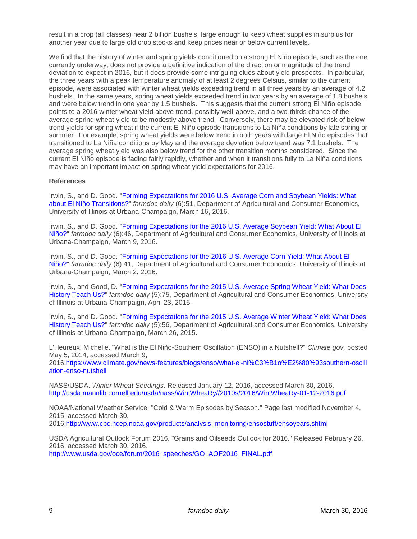result in a crop (all classes) near 2 billion bushels, large enough to keep wheat supplies in surplus for another year due to large old crop stocks and keep prices near or below current levels.

We find that the history of winter and spring yields conditioned on a strong El Niño episode, such as the one currently underway, does not provide a definitive indication of the direction or magnitude of the trend deviation to expect in 2016, but it does provide some intriguing clues about yield prospects. In particular, the three years with a peak temperature anomaly of at least 2 degrees Celsius, similar to the current episode, were associated with winter wheat yields exceeding trend in all three years by an average of 4.2 bushels. In the same years, spring wheat yields exceeded trend in two years by an average of 1.8 bushels and were below trend in one year by 1.5 bushels. This suggests that the current strong El Niño episode points to a 2016 winter wheat yield above trend, possibly well-above, and a two-thirds chance of the average spring wheat yield to be modestly above trend. Conversely, there may be elevated risk of below trend yields for spring wheat if the current El Niño episode transitions to La Niña conditions by late spring or summer. For example, spring wheat yields were below trend in both years with large El Niño episodes that transitioned to La Niña conditions by May and the average deviation below trend was 7.1 bushels. The average spring wheat yield was also below trend for the other transition months considered. Since the current El Niño episode is fading fairly rapidly, whether and when it transitions fully to La Niña conditions may have an important impact on spring wheat yield expectations for 2016.

#### **References**

Irwin, S., and D. Good. ["Forming Expectations for 2016 U.S. Average Corn and Soybean Yields: What](http://farmdocdaily.illinois.edu/2016/03/forming-expectations-for-2016-el-nino-transitions.html)  [about El Niño Transitions?"](http://farmdocdaily.illinois.edu/2016/03/forming-expectations-for-2016-el-nino-transitions.html) *farmdoc daily* (6):51, Department of Agricultural and Consumer Economics, University of Illinois at Urbana-Champaign, March 16, 2016.

Irwin, S., and D. Good. ["Forming Expectations for the 2016 U.S. Average Soybean Yield: What About El](http://farmdocdaily.illinois.edu/2016/03/expectations-for-2016-us-average-soybean-yield.html)  [Niño?"](http://farmdocdaily.illinois.edu/2016/03/expectations-for-2016-us-average-soybean-yield.html) *farmdoc daily* (6):46, Department of Agricultural and Consumer Economics, University of Illinois at Urbana-Champaign, March 9, 2016.

Irwin, S., and D. Good. ["Forming Expectations for the 2016 U.S. Average Corn Yield: What About El](http://farmdocdaily.illinois.edu/2016/03/expectations-for-2016-us-average-corn-yield.html)  [Niño?"](http://farmdocdaily.illinois.edu/2016/03/expectations-for-2016-us-average-corn-yield.html) *farmdoc daily* (6):41, Department of Agricultural and Consumer Economics, University of Illinois at Urbana-Champaign, March 2, 2016.

Irwin, S., and Good, D. ["Forming Expectations for the 2015 U.S. Average Spring Wheat Yield: What Does](http://farmdocdaily.illinois.edu/2015/04/forming-expectations-2015-us-average-spring-wheat-yield.html)  [History Teach Us?"](http://farmdocdaily.illinois.edu/2015/04/forming-expectations-2015-us-average-spring-wheat-yield.html) *farmdoc daily* (5):75, Department of Agricultural and Consumer Economics, University of Illinois at Urbana-Champaign, April 23, 2015.

Irwin, S., and D. Good. ["Forming Expectations for the 2015 U.S. Average Winter Wheat Yield: What Does](http://farmdocdaily.illinois.edu/2015/03/expectations-for-2015-us-average-wheat-yield.html)  [History Teach Us?"](http://farmdocdaily.illinois.edu/2015/03/expectations-for-2015-us-average-wheat-yield.html) *farmdoc daily* (5):56, Department of Agricultural and Consumer Economics, University of Illinois at Urbana-Champaign, March 26, 2015.

L'Heureux, Michelle. "What is the El Niño-Southern Oscillation (ENSO) in a Nutshell?" *Climate.gov,* posted May 5, 2014, accessed March 9,

2016[.https://www.climate.gov/news-features/blogs/enso/what-el-ni%C3%B1o%E2%80%93southern-oscill](https://www.climate.gov/news-features/blogs/enso/what-el-ni%C3%B1o%E2%80%93southern-oscillation-enso-nutshell) [ation-enso-nutshell](https://www.climate.gov/news-features/blogs/enso/what-el-ni%C3%B1o%E2%80%93southern-oscillation-enso-nutshell)

NASS/USDA. *Winter Wheat Seedings*. Released January 12, 2016, accessed March 30, 2016. [http://usda.mannlib.cornell.edu/usda/nass/WintWheaRy//2010s/2016/WintWheaRy-01-12-2016.pdf](http://usda.mannlib.cornell.edu/usda/nass/WintWheaRy/2010s/2016/WintWheaRy-01-12-2016.pdf)

NOAA/National Weather Service. "Cold & Warm Episodes by Season." Page last modified November 4, 2015, accessed March 30,

2016[.http://www.cpc.ncep.noaa.gov/products/analysis\\_monitoring/ensostuff/ensoyears.shtml](http://www.cpc.ncep.noaa.gov/products/analysis_monitoring/ensostuff/ensoyears.shtml)

USDA Agricultural Outlook Forum 2016. "Grains and Oilseeds Outlook for 2016." Released February 26, 2016, accessed March 30, 2016. [http://www.usda.gov/oce/forum/2016\\_speeches/GO\\_AOF2016\\_FINAL.pdf](http://www.usda.gov/oce/forum/2016_speeches/GO_AOF2016_FINAL.pdf)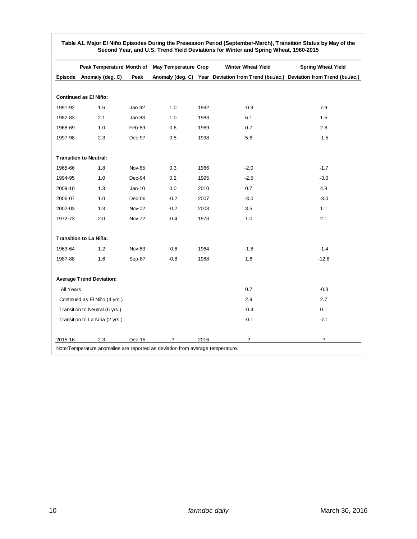|                               | Peak Temperature Month of May Temperature Crop |               |                          |      | <b>Winter Wheat Yield</b> | <b>Spring Wheat Yield</b>                                                           |  |
|-------------------------------|------------------------------------------------|---------------|--------------------------|------|---------------------------|-------------------------------------------------------------------------------------|--|
|                               | Episode Anomaly (deg. C)                       | Peak          |                          |      |                           | Anomaly (deg. C) Year Deviation from Trend (bu./ac.) Deviation from Trend (bu./ac.) |  |
|                               |                                                |               |                          |      |                           |                                                                                     |  |
|                               | Continued as El Niño:                          |               |                          |      |                           |                                                                                     |  |
| 1991-92                       | 1.6                                            | Jan-92        | 1.0                      | 1992 | $-0.9$                    | 7.9                                                                                 |  |
| 1982-83                       | 2.1                                            | $Jan-83$      | 1.0                      | 1983 | 6.1                       | 1.5                                                                                 |  |
| 1968-69                       | 1.0                                            | Feb-69        | 0.6                      | 1969 | 0.7                       | 2.8                                                                                 |  |
| 1997-98                       | 2.3                                            | Dec-97        | 0.5                      | 1998 | 5.6                       | $-1.5$                                                                              |  |
|                               | <b>Transition to Neutral:</b>                  |               |                          |      |                           |                                                                                     |  |
| 1965-66                       | 1.8                                            | Nov-65        | 0.3                      | 1966 | $-2.0$                    | $-1.7$                                                                              |  |
| 1994-95                       | 1.0                                            | Dec-94        | 0.2                      | 1995 | $-2.5$                    | $-3.0$                                                                              |  |
| 2009-10                       | 1.3                                            | $Jan-10$      | 0.0                      | 2010 | 0.7                       | 4.8                                                                                 |  |
| 2006-07                       | 1.0                                            | $Dec-06$      | $-0.2$                   | 2007 | $-3.0$                    | $-3.0$                                                                              |  |
| 2002-03                       | 1.3                                            | <b>Nov-02</b> | $-0.2$                   | 2003 | 3.5                       | 1.1                                                                                 |  |
| 1972-73                       | 2.0                                            | <b>Nov-72</b> | $-0.4$                   | 1973 | 1.0                       | 2.1                                                                                 |  |
|                               | <b>Transition to La Niña:</b>                  |               |                          |      |                           |                                                                                     |  |
| 1963-64                       | 1.2                                            | Nov-63        | $-0.6$                   | 1964 | $-1.8$                    | $-1.4$                                                                              |  |
| 1987-88                       | 1.6                                            | Sep-87        | $-0.8$                   | 1988 | 1.6                       | $-12.8$                                                                             |  |
|                               | <b>Average Trend Deviation:</b>                |               |                          |      |                           |                                                                                     |  |
| All Years                     |                                                |               |                          |      | 0.7                       | $-0.3$                                                                              |  |
| Continued as El Niño (4 yrs.) |                                                |               |                          |      | 2.9                       | 2.7                                                                                 |  |
|                               | Transition to Neutral (6 yrs.)                 |               |                          |      | $-0.4$                    | 0.1                                                                                 |  |
|                               | Transition to La Niña (2 yrs.)                 |               |                          |      | $-0.1$                    | $-7.1$                                                                              |  |
| 2015-16                       | 2.3                                            | $Dec-15$      | $\overline{\phantom{a}}$ | 2016 | $\overline{\phantom{a}}$  | $\overline{\phantom{a}}$                                                            |  |

**Table A1. Major El Niño Episodes During the Preseason Period (September-March), Transition Status by May of the Second Year, and U.S. Trend Yield Deviations for Winter and Spring Wheat, 1960-2015**

Note:Temperature anomalies are reported as deviation from average temperature.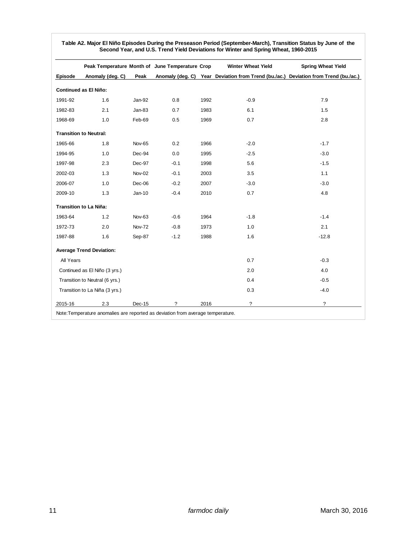|                               |                                 |               | Peak Temperature Month of June Temperature Crop |      | <b>Winter Wheat Yield</b>                                                           | <b>Spring Wheat Yield</b> |
|-------------------------------|---------------------------------|---------------|-------------------------------------------------|------|-------------------------------------------------------------------------------------|---------------------------|
| Episode                       | Anomaly (deg. C)                | Peak          |                                                 |      | Anomaly (deg. C) Year Deviation from Trend (bu./ac.) Deviation from Trend (bu./ac.) |                           |
| <b>Continued as El Niño:</b>  |                                 |               |                                                 |      |                                                                                     |                           |
| 1991-92                       | 1.6                             | Jan-92        | 0.8                                             | 1992 | $-0.9$                                                                              | 7.9                       |
| 1982-83                       | 2.1                             | $Jan-83$      | 0.7                                             | 1983 | 6.1                                                                                 | 1.5                       |
| 1968-69                       | 1.0                             | Feb-69        | 0.5                                             | 1969 | 0.7                                                                                 | 2.8                       |
| <b>Transition to Neutral:</b> |                                 |               |                                                 |      |                                                                                     |                           |
| 1965-66                       | 1.8                             | Nov-65        | 0.2                                             | 1966 | $-2.0$                                                                              | $-1.7$                    |
| 1994-95                       | 1.0                             | Dec-94        | 0.0                                             | 1995 | $-2.5$                                                                              | $-3.0$                    |
| 1997-98                       | 2.3                             | Dec-97        | $-0.1$                                          | 1998 | 5.6                                                                                 | $-1.5$                    |
| 2002-03                       | 1.3                             | <b>Nov-02</b> | $-0.1$                                          | 2003 | 3.5                                                                                 | 1.1                       |
| 2006-07                       | 1.0                             | Dec-06        | $-0.2$                                          | 2007 | $-3.0$                                                                              | $-3.0$                    |
| 2009-10                       | 1.3                             | Jan-10        | $-0.4$                                          | 2010 | 0.7                                                                                 | 4.8                       |
| <b>Transition to La Niña:</b> |                                 |               |                                                 |      |                                                                                     |                           |
| 1963-64                       | 1.2                             | <b>Nov-63</b> | $-0.6$                                          | 1964 | $-1.8$                                                                              | $-1.4$                    |
| 1972-73                       | 2.0                             | <b>Nov-72</b> | $-0.8$                                          | 1973 | 1.0                                                                                 | 2.1                       |
| 1987-88                       | 1.6                             | Sep-87        | $-1.2$                                          | 1988 | 1.6                                                                                 | $-12.8$                   |
|                               | <b>Average Trend Deviation:</b> |               |                                                 |      |                                                                                     |                           |
| All Years                     |                                 |               |                                                 |      | 0.7                                                                                 | $-0.3$                    |
| Continued as El Niño (3 yrs.) |                                 |               |                                                 |      | 2.0                                                                                 | 4.0                       |
|                               | Transition to Neutral (6 yrs.)  |               |                                                 |      | 0.4                                                                                 | $-0.5$                    |
|                               | Transition to La Niña (3 yrs.)  |               |                                                 |      | 0.3                                                                                 | $-4.0$                    |
| 2015-16                       | 2.3                             | Dec-15        | ?                                               | 2016 | ?                                                                                   | ?                         |

**Table A2. Major El Niño Episodes During the Preseason Period (September-March), Transition Status by June of the Second Year, and U.S. Trend Yield Deviations for Winter and Spring Wheat, 1960-2015**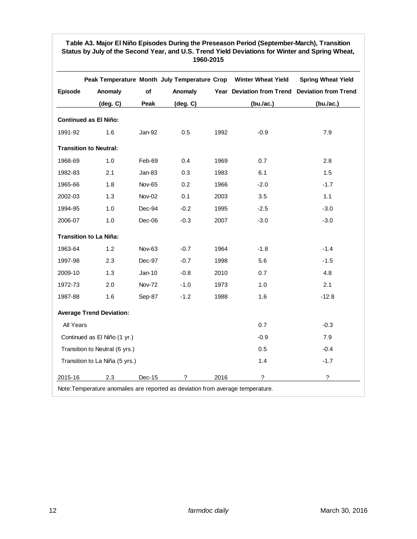## **Table A3. Major El Niño Episodes During the Preseason Period (September-March), Transition**  Status by July of the Second Year, and U.S. Trend Yield Deviations for Winter and Spring Wheat, **1960-2015**

|                |                                                                                 |               |                   |      | Peak Temperature Month July Temperature Crop Winter Wheat Yield | <b>Spring Wheat Yield</b> |
|----------------|---------------------------------------------------------------------------------|---------------|-------------------|------|-----------------------------------------------------------------|---------------------------|
| <b>Episode</b> | Anomaly                                                                         | of            | Anomaly           |      | Year Deviation from Trend Deviation from Trend                  |                           |
|                | $(\text{deg. C})$                                                               | Peak          | $(\text{deg. C})$ |      | (bu./ac.)                                                       | (bu./ac.)                 |
|                | <b>Continued as El Niño:</b>                                                    |               |                   |      |                                                                 |                           |
| 1991-92        | 1.6                                                                             | Jan-92        | 0.5               | 1992 | $-0.9$                                                          | 7.9                       |
|                | <b>Transition to Neutral:</b>                                                   |               |                   |      |                                                                 |                           |
| 1968-69        | 1.0                                                                             | Feb-69        | 0.4               | 1969 | 0.7                                                             | 2.8                       |
| 1982-83        | 2.1                                                                             | Jan-83        | 0.3               | 1983 | 6.1                                                             | 1.5                       |
| 1965-66        | 1.8                                                                             | <b>Nov-65</b> | 0.2               | 1966 | $-2.0$                                                          | $-1.7$                    |
| 2002-03        | 1.3                                                                             | <b>Nov-02</b> | 0.1               | 2003 | 3.5                                                             | 1.1                       |
| 1994-95        | 1.0                                                                             | Dec-94        | $-0.2$            | 1995 | $-2.5$                                                          | $-3.0$                    |
| 2006-07        | 1.0                                                                             | Dec-06        | $-0.3$            | 2007 | $-3.0$                                                          | $-3.0$                    |
|                | <b>Transition to La Niña:</b>                                                   |               |                   |      |                                                                 |                           |
| 1963-64        | 1.2                                                                             | Nov-63        | $-0.7$            | 1964 | $-1.8$                                                          | $-1.4$                    |
| 1997-98        | 2.3                                                                             | Dec-97        | $-0.7$            | 1998 | 5.6                                                             | $-1.5$                    |
| 2009-10        | 1.3                                                                             | Jan-10        | $-0.8$            | 2010 | 0.7                                                             | 4.8                       |
| 1972-73        | 2.0                                                                             | <b>Nov-72</b> | $-1.0$            | 1973 | 1.0                                                             | 2.1                       |
| 1987-88        | 1.6                                                                             | Sep-87        | $-1.2$            | 1988 | 1.6                                                             | $-12.8$                   |
|                | <b>Average Trend Deviation:</b>                                                 |               |                   |      |                                                                 |                           |
| All Years      |                                                                                 |               |                   |      | 0.7                                                             | $-0.3$                    |
|                | Continued as El Niño (1 yr.)                                                    |               |                   |      | $-0.9$                                                          | 7.9                       |
|                | Transition to Neutral (6 yrs.)                                                  |               |                   |      | 0.5                                                             | $-0.4$                    |
|                | Transition to La Niña (5 yrs.)                                                  |               |                   |      | 1.4                                                             | $-1.7$                    |
| 2015-16        | 2.3                                                                             | Dec-15        | ?                 | 2016 | $\ddot{\phantom{0}}$                                            | $\overline{\phantom{a}}$  |
|                | Note: Temperature anomalies are reported as deviation from average temperature. |               |                   |      |                                                                 |                           |